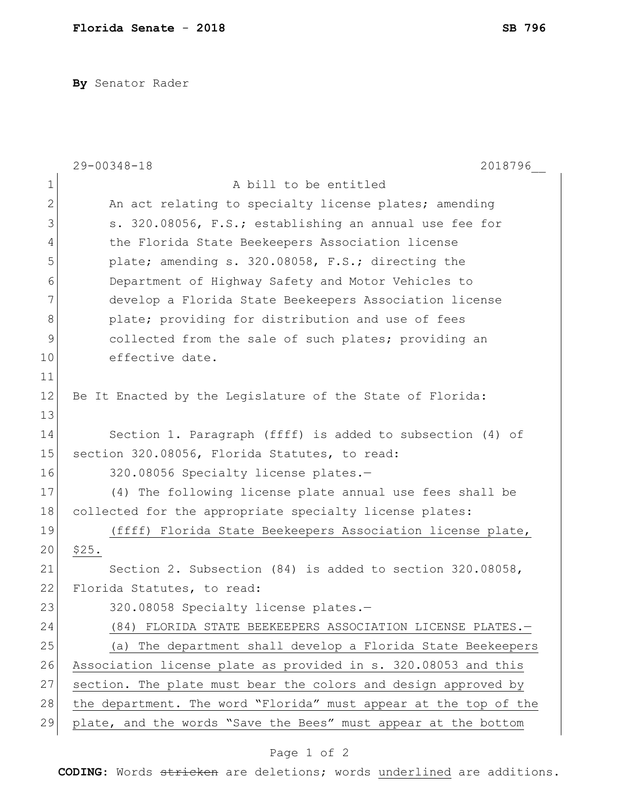**By** Senator Rader

|               | 2018796<br>29-00348-18                                           |
|---------------|------------------------------------------------------------------|
| $\mathbf 1$   | A bill to be entitled                                            |
| $\mathbf{2}$  | An act relating to specialty license plates; amending            |
| 3             | s. 320.08056, F.S.; establishing an annual use fee for           |
| 4             | the Florida State Beekeepers Association license                 |
| 5             | plate; amending s. 320.08058, F.S.; directing the                |
| 6             | Department of Highway Safety and Motor Vehicles to               |
| 7             | develop a Florida State Beekeepers Association license           |
| $8\,$         | plate; providing for distribution and use of fees                |
| $\mathcal{G}$ | collected from the sale of such plates; providing an             |
| 10            | effective date.                                                  |
| 11            |                                                                  |
| 12            | Be It Enacted by the Legislature of the State of Florida:        |
| 13            |                                                                  |
| 14            | Section 1. Paragraph (ffff) is added to subsection (4) of        |
| 15            | section 320.08056, Florida Statutes, to read:                    |
| 16            | 320.08056 Specialty license plates.-                             |
| 17            | (4) The following license plate annual use fees shall be         |
| 18            | collected for the appropriate specialty license plates:          |
| 19            | (ffff) Florida State Beekeepers Association license plate,       |
| 20            | \$25.                                                            |
| 21            | Section 2. Subsection $(84)$ is added to section 320.08058,      |
| 22            | Florida Statutes, to read:                                       |
| 23            | 320.08058 Specialty license plates.-                             |
| 24            | (84) FLORIDA STATE BEEKEEPERS ASSOCIATION LICENSE PLATES.-       |
| 25            | (a) The department shall develop a Florida State Beekeepers      |
| 26            | Association license plate as provided in s. 320.08053 and this   |
| 27            | section. The plate must bear the colors and design approved by   |
| 28            | the department. The word "Florida" must appear at the top of the |
| 29            | plate, and the words "Save the Bees" must appear at the bottom   |

## Page 1 of 2

**CODING**: Words stricken are deletions; words underlined are additions.